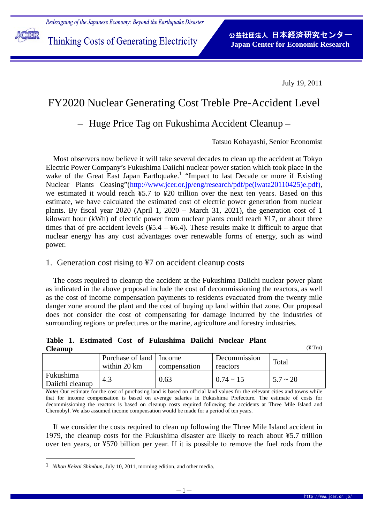

i<br>L

July 19, 2011

# FY2020 Nuclear Generating Cost Treble Pre-Accident Level

## – Huge Price Tag on Fukushima Accident Cleanup –

Tatsuo Kobayashi, Senior Economist

Most observers now believe it will take several decades to clean up the accident at Tokyo Electric Power Company's Fukushima Daiichi nuclear power station which took place in the wake of the Great East Japan Earthquake.<sup>1</sup> "Impact to last Decade or more if Existing Nuclear Plants Ceasing"(http://www.jcer.or.jp/eng/research/pdf/pe(iwata20110425)e.pdf), we estimated it would reach ¥5.7 to ¥20 trillion over the next ten years. Based on this estimate, we have calculated the estimated cost of electric power generation from nuclear plants. By fiscal year 2020 (April 1, 2020 – March 31, 2021), the generation cost of 1 kilowatt hour (kWh) of electric power from nuclear plants could reach ¥17, or about three times that of pre-accident levels  $(45.4 - 46.4)$ . These results make it difficult to argue that nuclear energy has any cost advantages over renewable forms of energy, such as wind power.

## 1. Generation cost rising to ¥7 on accident cleanup costs

The costs required to cleanup the accident at the Fukushima Daiichi nuclear power plant as indicated in the above proposal include the cost of decommissioning the reactors, as well as the cost of income compensation payments to residents evacuated from the twenty mile danger zone around the plant and the cost of buying up land within that zone. Our proposal does not consider the cost of compensating for damage incurred by the industries of surrounding regions or prefectures or the marine, agriculture and forestry industries.

|                |  |  | Table 1. Estimated Cost of Fukushima Daiichi Nuclear Plant |  |                     |
|----------------|--|--|------------------------------------------------------------|--|---------------------|
| <b>Cleanup</b> |  |  |                                                            |  | $(\frac{1}{2})$ Trn |

|                              | Purchase of land   Income<br>within 20 km | compensation | Decommission<br>reactors | Total         |  |  |  |  |
|------------------------------|-------------------------------------------|--------------|--------------------------|---------------|--|--|--|--|
| Fukushima<br>Daiichi cleanup | 4.3                                       | 0.63         | $0.74 \sim 15$           | $5.7 \sim 20$ |  |  |  |  |

*Note*: Our estimate for the cost of purchasing land is based on official land values for the relevant cities and towns while that for income compensation is based on average salaries in Fukushima Prefecture. The estimate of costs for decommissioning the reactors is based on cleanup costs required following the accidents at Three Mile Island and Chernobyl. We also assumed income compensation would be made for a period of ten years.

If we consider the costs required to clean up following the Three Mile Island accident in 1979, the cleanup costs for the Fukushima disaster are likely to reach about ¥5.7 trillion over ten years, or ¥570 billion per year. If it is possible to remove the fuel rods from the

 $\overline{a}$ 

<sup>1</sup> *Nihon Keizai Shimbun,* July 10, 2011, morning edition, and other media.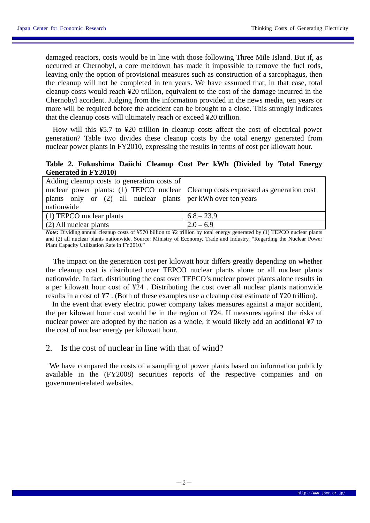damaged reactors, costs would be in line with those following Three Mile Island. But if, as occurred at Chernobyl, a core meltdown has made it impossible to remove the fuel rods, leaving only the option of provisional measures such as construction of a sarcophagus, then the cleanup will not be completed in ten years. We have assumed that, in that case, total cleanup costs would reach ¥20 trillion, equivalent to the cost of the damage incurred in the Chernobyl accident. Judging from the information provided in the news media, ten years or more will be required before the accident can be brought to a close. This strongly indicates that the cleanup costs will ultimately reach or exceed ¥20 trillion.

 How will this ¥5.7 to ¥20 trillion in cleanup costs affect the cost of electrical power generation? Table two divides these cleanup costs by the total energy generated from nuclear power plants in FY2010, expressing the results in terms of cost per kilowatt hour.

#### **Table 2. Fukushima Daiichi Cleanup Cost Per kWh (Divided by Total Energy Generated in FY2010)**

| Adding cleanup costs to generation costs of<br>nuclear power plants: (1) TEPCO nuclear Cleanup costs expressed as generation cost<br>plants only or $(2)$ all nuclear plants per kWh over ten years<br>nationwide |              |  |
|-------------------------------------------------------------------------------------------------------------------------------------------------------------------------------------------------------------------|--------------|--|
| (1) TEPCO nuclear plants                                                                                                                                                                                          | $6.8 - 23.9$ |  |
| (2) All nuclear plants                                                                                                                                                                                            | $2.0 - 6.9$  |  |

*Note*: Dividing annual cleanup costs of ¥570 billion to ¥2 trillion by total energy generated by (1) TEPCO nuclear plants and (2) all nuclear plants nationwide. Source: Ministry of Economy, Trade and Industry, "Regarding the Nuclear Power Plant Capacity Utilization Rate in FY2010."

The impact on the generation cost per kilowatt hour differs greatly depending on whether the cleanup cost is distributed over TEPCO nuclear plants alone or all nuclear plants nationwide. In fact, distributing the cost over TEPCO's nuclear power plants alone results in a per kilowatt hour cost of ¥24 . Distributing the cost over all nuclear plants nationwide results in a cost of ¥7 . (Both of these examples use a cleanup cost estimate of ¥20 trillion).

 In the event that every electric power company takes measures against a major accident, the per kilowatt hour cost would be in the region of ¥24. If measures against the risks of nuclear power are adopted by the nation as a whole, it would likely add an additional ¥7 to the cost of nuclear energy per kilowatt hour.

#### 2. Is the cost of nuclear in line with that of wind?

We have compared the costs of a sampling of power plants based on information publicly available in the (FY2008) securities reports of the respective companies and on government-related websites.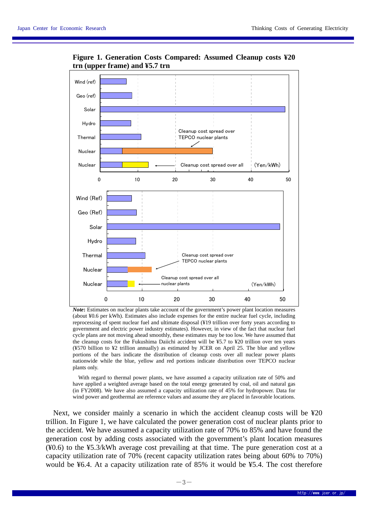

**Figure 1. Generation Costs Compared: Assumed Cleanup costs ¥20 trn (upper frame) and ¥5.7 trn** 

*Note***:** Estimates on nuclear plants take account of the government's power plant location measures (about ¥0.6 per kWh). Estimates also include expenses for the entire nuclear fuel cycle, including reprocessing of spent nuclear fuel and ultimate disposal (¥19 trillion over forty years according to government and electric power industry estimates). However, in view of the fact that nuclear fuel cycle plans are not moving ahead smoothly, these estimates may be too low. We have assumed that the cleanup costs for the Fukushima Daiichi accident will be ¥5.7 to ¥20 trillion over ten years (¥570 billion to ¥2 trillion annually) as estimated by JCER on April 25. The blue and yellow portions of the bars indicate the distribution of cleanup costs over all nuclear power plants nationwide while the blue, yellow and red portions indicate distribution over TEPCO nuclear plants only.

 With regard to thermal power plants, we have assumed a capacity utilization rate of 50% and have applied a weighted average based on the total energy generated by coal, oil and natural gas (in FY2008). We have also assumed a capacity utilization rate of 45% for hydropower. Data for wind power and geothermal are reference values and assume they are placed in favorable locations.

Next, we consider mainly a scenario in which the accident cleanup costs will be ¥20 trillion. In Figure 1, we have calculated the power generation cost of nuclear plants prior to the accident. We have assumed a capacity utilization rate of 70% to 85% and have found the generation cost by adding costs associated with the government's plant location measures (¥0.6) to the ¥5.3/kWh average cost prevailing at that time. The pure generation cost at a capacity utilization rate of 70% (recent capacity utilization rates being about 60% to 70%) would be ¥6.4. At a capacity utilization rate of 85% it would be ¥5.4. The cost therefore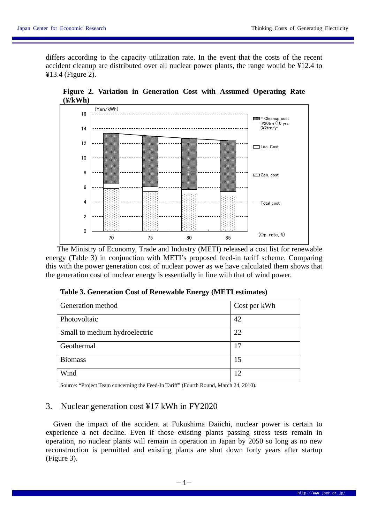differs according to the capacity utilization rate. In the event that the costs of the recent accident cleanup are distributed over all nuclear power plants, the range would be ¥12.4 to ¥13.4 (Figure 2).



**Figure 2. Variation in Generation Cost with Assumed Operating Rate (¥/kWh)** 

 The Ministry of Economy, Trade and Industry (METI) released a cost list for renewable energy (Table 3) in conjunction with METI's proposed feed-in tariff scheme. Comparing this with the power generation cost of nuclear power as we have calculated them shows that the generation cost of nuclear energy is essentially in line with that of wind power.

| Generation method             | Cost per kWh |
|-------------------------------|--------------|
| Photovoltaic                  | 42           |
| Small to medium hydroelectric | 22           |
| Geothermal                    | 17           |
| <b>Biomass</b>                | 15           |
| Wind                          |              |

**Table 3. Generation Cost of Renewable Energy (METI estimates)** 

Source: "Project Team concerning the Feed-In Tariff" (Fourth Round, March 24, 2010).

### 3. Nuclear generation cost ¥17 kWh in FY2020

Given the impact of the accident at Fukushima Daiichi, nuclear power is certain to experience a net decline. Even if those existing plants passing stress tests remain in operation, no nuclear plants will remain in operation in Japan by 2050 so long as no new reconstruction is permitted and existing plants are shut down forty years after startup (Figure 3).